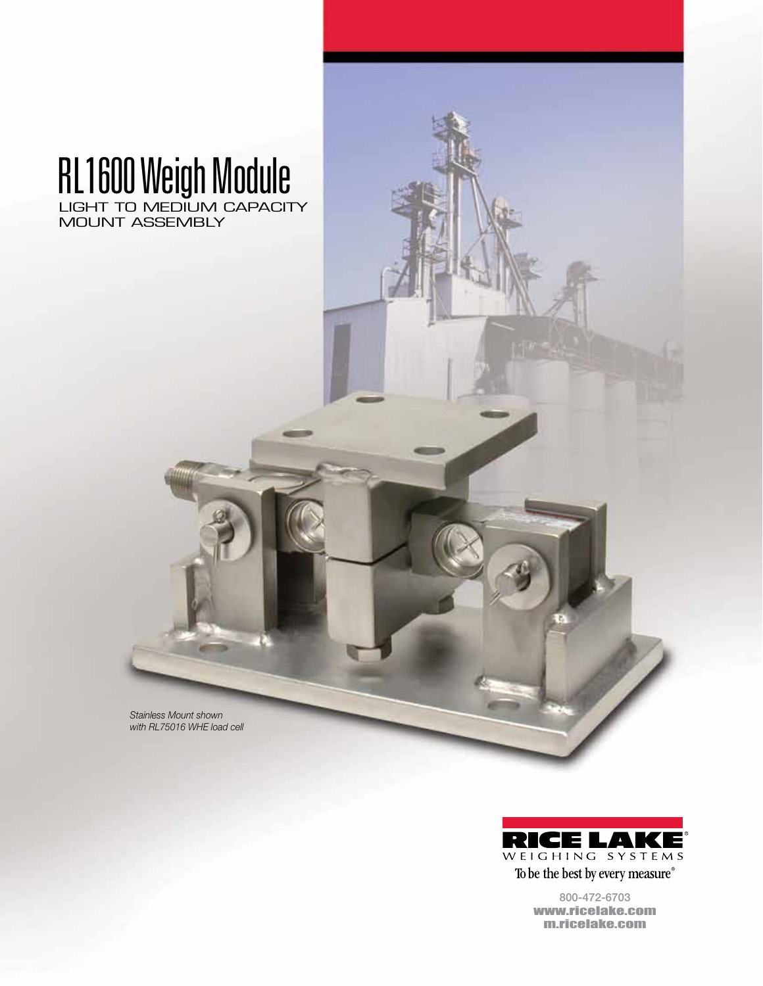## RL1600 Weigh Module LIGHT TO MEDIUM CAPACITY

MOUNT ASSEMBLY

*Stainless Mount shown with RL75016 WHE load cell*



To be the best by every measure® 800-472-6703

www.ricelake.com m.ricelake.com